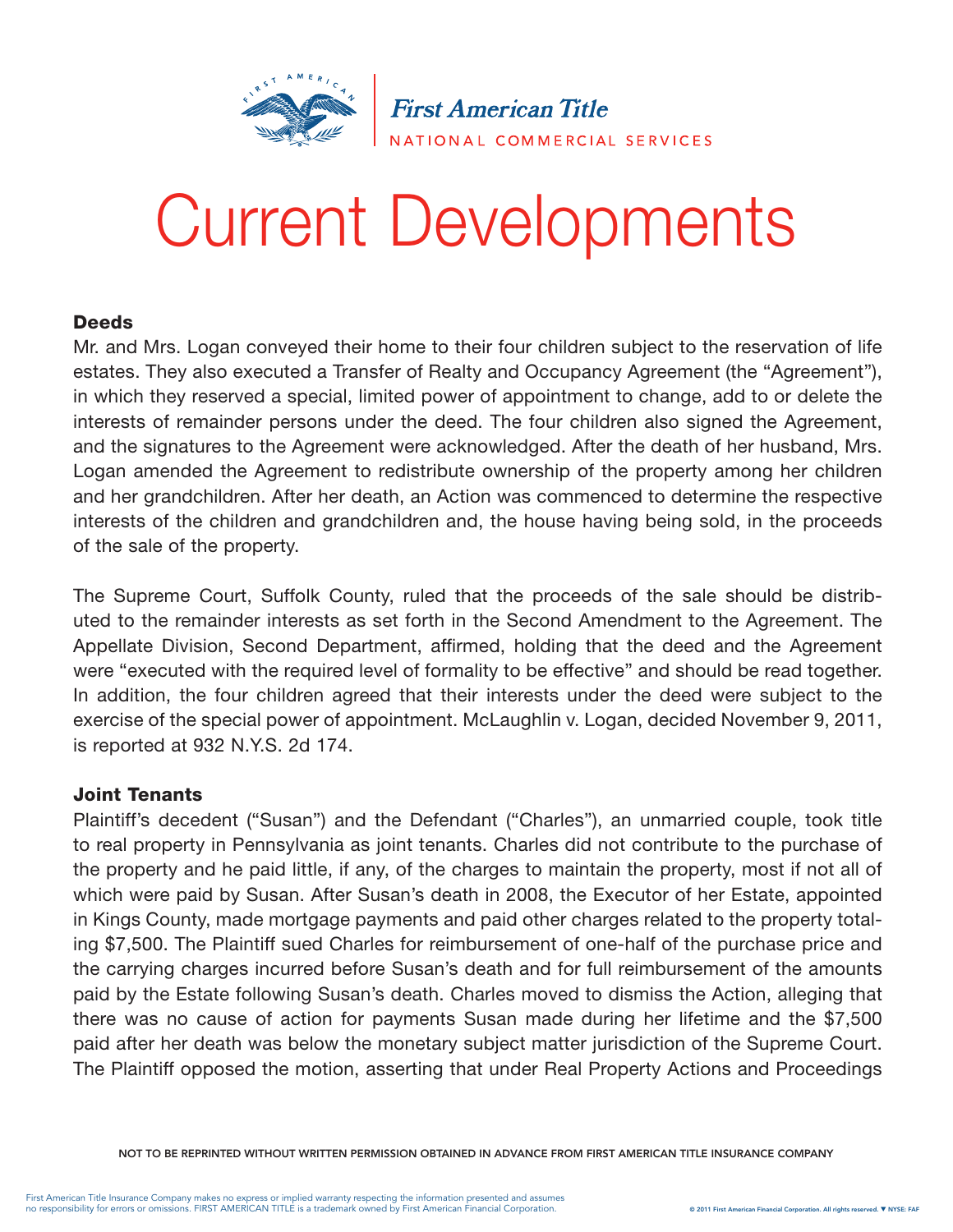

# Current Developments

# **Deeds**

Mr. and Mrs. Logan conveyed their home to their four children subject to the reservation of life estates. They also executed a Transfer of Realty and Occupancy Agreement (the "Agreement"), in which they reserved a special, limited power of appointment to change, add to or delete the interests of remainder persons under the deed. The four children also signed the Agreement, and the signatures to the Agreement were acknowledged. After the death of her husband, Mrs. Logan amended the Agreement to redistribute ownership of the property among her children and her grandchildren. After her death, an Action was commenced to determine the respective interests of the children and grandchildren and, the house having being sold, in the proceeds of the sale of the property.

The Supreme Court, Suffolk County, ruled that the proceeds of the sale should be distributed to the remainder interests as set forth in the Second Amendment to the Agreement. The Appellate Division, Second Department, affirmed, holding that the deed and the Agreement were "executed with the required level of formality to be effective" and should be read together. In addition, the four children agreed that their interests under the deed were subject to the exercise of the special power of appointment. McLaughlin v. Logan, decided November 9, 2011, is reported at 932 N.Y.S. 2d 174.

#### Joint Tenants

Plaintiff's decedent ("Susan") and the Defendant ("Charles"), an unmarried couple, took title to real property in Pennsylvania as joint tenants. Charles did not contribute to the purchase of the property and he paid little, if any, of the charges to maintain the property, most if not all of which were paid by Susan. After Susan's death in 2008, the Executor of her Estate, appointed in Kings County, made mortgage payments and paid other charges related to the property totaling \$7,500. The Plaintiff sued Charles for reimbursement of one-half of the purchase price and the carrying charges incurred before Susan's death and for full reimbursement of the amounts paid by the Estate following Susan's death. Charles moved to dismiss the Action, alleging that there was no cause of action for payments Susan made during her lifetime and the \$7,500 paid after her death was below the monetary subject matter jurisdiction of the Supreme Court. The Plaintiff opposed the motion, asserting that under Real Property Actions and Proceedings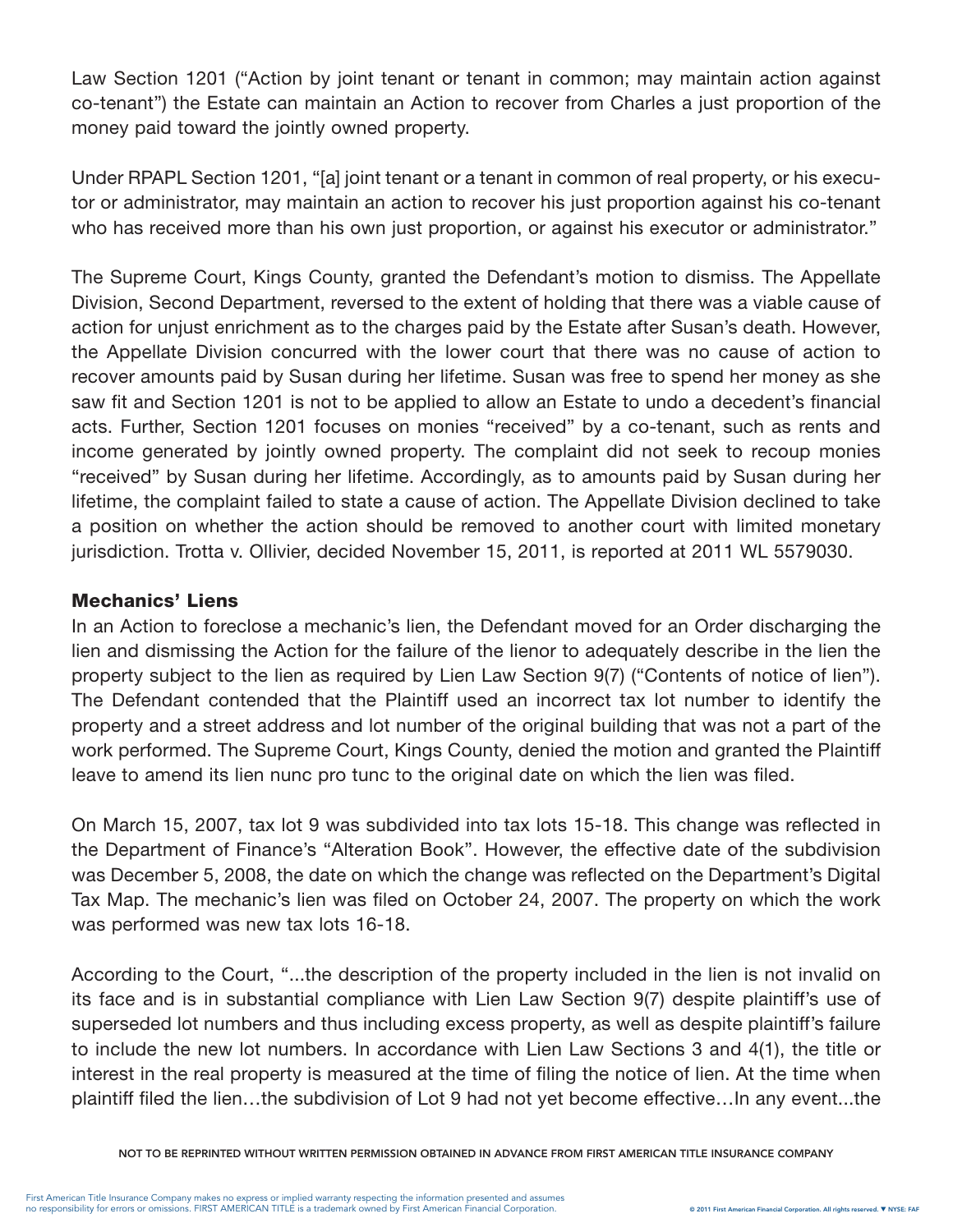Law Section 1201 ("Action by joint tenant or tenant in common; may maintain action against co-tenant") the Estate can maintain an Action to recover from Charles a just proportion of the money paid toward the jointly owned property.

Under RPAPL Section 1201, "[a] joint tenant or a tenant in common of real property, or his executor or administrator, may maintain an action to recover his just proportion against his co-tenant who has received more than his own just proportion, or against his executor or administrator."

The Supreme Court, Kings County, granted the Defendant's motion to dismiss. The Appellate Division, Second Department, reversed to the extent of holding that there was a viable cause of action for unjust enrichment as to the charges paid by the Estate after Susan's death. However, the Appellate Division concurred with the lower court that there was no cause of action to recover amounts paid by Susan during her lifetime. Susan was free to spend her money as she saw fit and Section 1201 is not to be applied to allow an Estate to undo a decedent's financial acts. Further, Section 1201 focuses on monies "received" by a co-tenant, such as rents and income generated by jointly owned property. The complaint did not seek to recoup monies "received" by Susan during her lifetime. Accordingly, as to amounts paid by Susan during her lifetime, the complaint failed to state a cause of action. The Appellate Division declined to take a position on whether the action should be removed to another court with limited monetary jurisdiction. Trotta v. Ollivier, decided November 15, 2011, is reported at 2011 WL 5579030.

# Mechanics' Liens

In an Action to foreclose a mechanic's lien, the Defendant moved for an Order discharging the lien and dismissing the Action for the failure of the lienor to adequately describe in the lien the property subject to the lien as required by Lien Law Section 9(7) ("Contents of notice of lien"). The Defendant contended that the Plaintiff used an incorrect tax lot number to identify the property and a street address and lot number of the original building that was not a part of the work performed. The Supreme Court, Kings County, denied the motion and granted the Plaintiff leave to amend its lien nunc pro tunc to the original date on which the lien was filed.

On March 15, 2007, tax lot 9 was subdivided into tax lots 15-18. This change was reflected in the Department of Finance's "Alteration Book". However, the effective date of the subdivision was December 5, 2008, the date on which the change was reflected on the Department's Digital Tax Map. The mechanic's lien was filed on October 24, 2007. The property on which the work was performed was new tax lots 16-18.

According to the Court, "...the description of the property included in the lien is not invalid on its face and is in substantial compliance with Lien Law Section 9(7) despite plaintiff's use of superseded lot numbers and thus including excess property, as well as despite plaintiff's failure to include the new lot numbers. In accordance with Lien Law Sections 3 and 4(1), the title or interest in the real property is measured at the time of filing the notice of lien. At the time when plaintiff filed the lien…the subdivision of Lot 9 had not yet become effective…In any event...the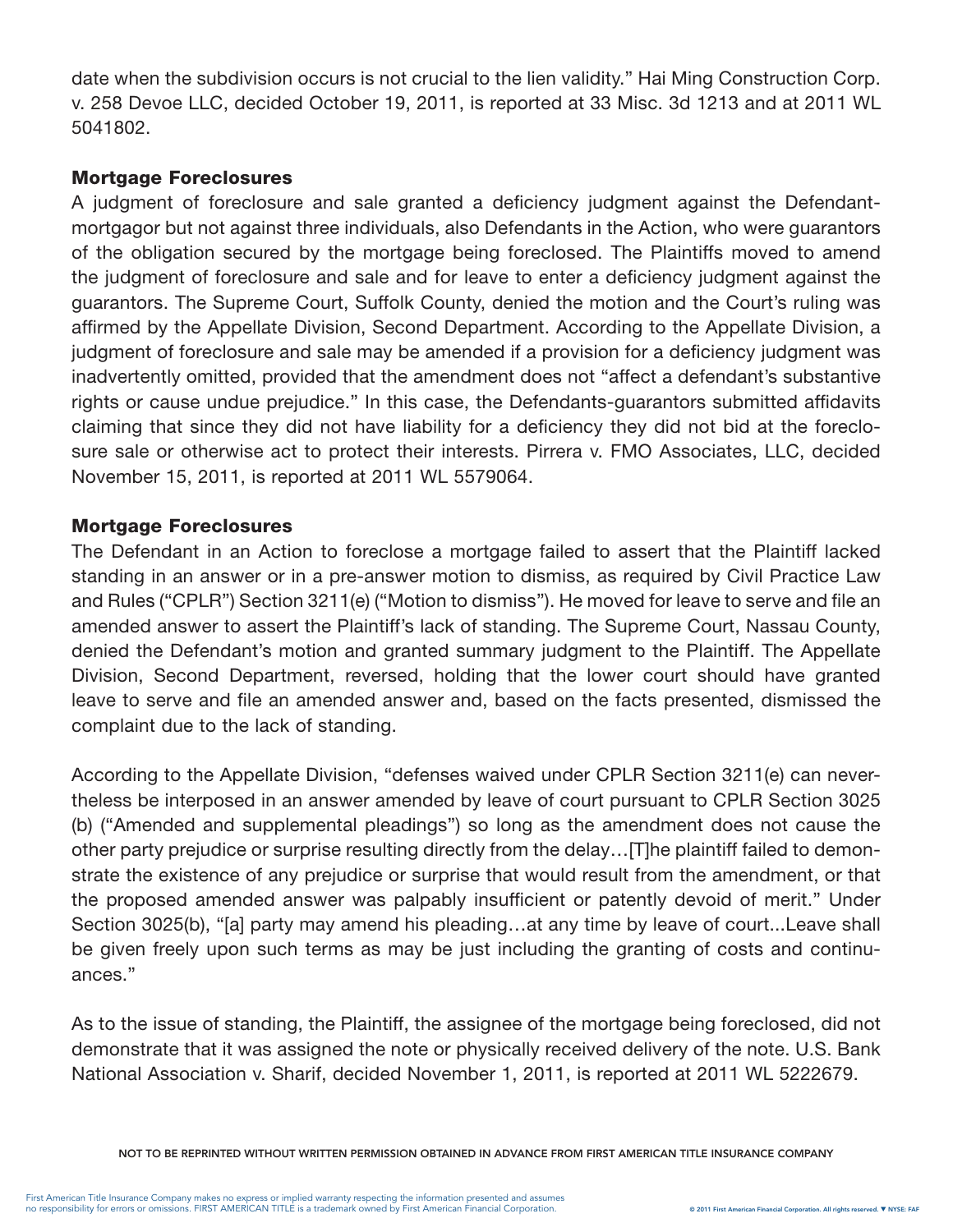date when the subdivision occurs is not crucial to the lien validity." Hai Ming Construction Corp. v. 258 Devoe LLC, decided October 19, 2011, is reported at 33 Misc. 3d 1213 and at 2011 WL 5041802.

# Mortgage Foreclosures

A judgment of foreclosure and sale granted a deficiency judgment against the Defendantmortgagor but not against three individuals, also Defendants in the Action, who were guarantors of the obligation secured by the mortgage being foreclosed. The Plaintiffs moved to amend the judgment of foreclosure and sale and for leave to enter a deficiency judgment against the guarantors. The Supreme Court, Suffolk County, denied the motion and the Court's ruling was affirmed by the Appellate Division, Second Department. According to the Appellate Division, a judgment of foreclosure and sale may be amended if a provision for a deficiency judgment was inadvertently omitted, provided that the amendment does not "affect a defendant's substantive rights or cause undue prejudice." In this case, the Defendants-guarantors submitted affidavits claiming that since they did not have liability for a deficiency they did not bid at the foreclosure sale or otherwise act to protect their interests. Pirrera v. FMO Associates, LLC, decided November 15, 2011, is reported at 2011 WL 5579064.

# Mortgage Foreclosures

The Defendant in an Action to foreclose a mortgage failed to assert that the Plaintiff lacked standing in an answer or in a pre-answer motion to dismiss, as required by Civil Practice Law and Rules ("CPLR") Section 3211(e) ("Motion to dismiss"). He moved for leave to serve and file an amended answer to assert the Plaintiff's lack of standing. The Supreme Court, Nassau County, denied the Defendant's motion and granted summary judgment to the Plaintiff. The Appellate Division, Second Department, reversed, holding that the lower court should have granted leave to serve and file an amended answer and, based on the facts presented, dismissed the complaint due to the lack of standing.

According to the Appellate Division, "defenses waived under CPLR Section 3211(e) can nevertheless be interposed in an answer amended by leave of court pursuant to CPLR Section 3025 (b) ("Amended and supplemental pleadings") so long as the amendment does not cause the other party prejudice or surprise resulting directly from the delay…[T]he plaintiff failed to demonstrate the existence of any prejudice or surprise that would result from the amendment, or that the proposed amended answer was palpably insufficient or patently devoid of merit." Under Section 3025(b), "[a] party may amend his pleading…at any time by leave of court...Leave shall be given freely upon such terms as may be just including the granting of costs and continuances."

As to the issue of standing, the Plaintiff, the assignee of the mortgage being foreclosed, did not demonstrate that it was assigned the note or physically received delivery of the note. U.S. Bank National Association v. Sharif, decided November 1, 2011, is reported at 2011 WL 5222679.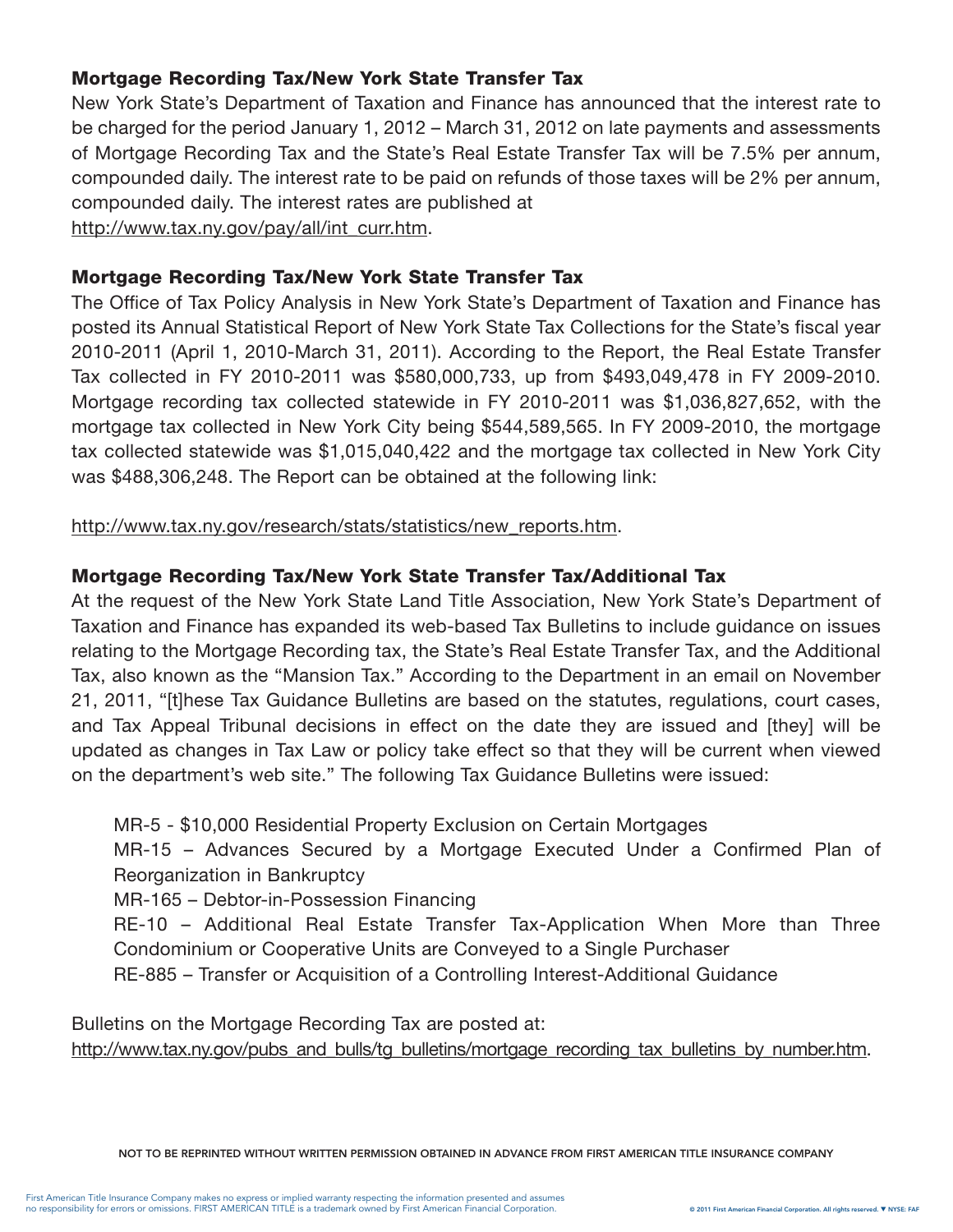# Mortgage Recording Tax/New York State Transfer Tax

New York State's Department of Taxation and Finance has announced that the interest rate to be charged for the period January 1, 2012 – March 31, 2012 on late payments and assessments of Mortgage Recording Tax and the State's Real Estate Transfer Tax will be 7.5% per annum, compounded daily. The interest rate to be paid on refunds of those taxes will be 2% per annum, compounded daily. The interest rates are published at

http://www.tax.ny.gov/pay/all/int\_curr.htm.

#### Mortgage Recording Tax/New York State Transfer Tax

The Office of Tax Policy Analysis in New York State's Department of Taxation and Finance has posted its Annual Statistical Report of New York State Tax Collections for the State's fiscal year 2010-2011 (April 1, 2010-March 31, 2011). According to the Report, the Real Estate Transfer Tax collected in FY 2010-2011 was \$580,000,733, up from \$493,049,478 in FY 2009-2010. Mortgage recording tax collected statewide in FY 2010-2011 was \$1,036,827,652, with the mortgage tax collected in New York City being \$544,589,565. In FY 2009-2010, the mortgage tax collected statewide was \$1,015,040,422 and the mortgage tax collected in New York City was \$488,306,248. The Report can be obtained at the following link:

http://www.tax.ny.gov/research/stats/statistics/new\_reports.htm.

# Mortgage Recording Tax/New York State Transfer Tax/Additional Tax

At the request of the New York State Land Title Association, New York State's Department of Taxation and Finance has expanded its web-based Tax Bulletins to include guidance on issues relating to the Mortgage Recording tax, the State's Real Estate Transfer Tax, and the Additional Tax, also known as the "Mansion Tax." According to the Department in an email on November 21, 2011, "[t]hese Tax Guidance Bulletins are based on the statutes, regulations, court cases, and Tax Appeal Tribunal decisions in effect on the date they are issued and [they] will be updated as changes in Tax Law or policy take effect so that they will be current when viewed on the department's web site." The following Tax Guidance Bulletins were issued:

MR-5 - \$10,000 Residential Property Exclusion on Certain Mortgages

MR-15 – Advances Secured by a Mortgage Executed Under a Confirmed Plan of Reorganization in Bankruptcy

MR-165 – Debtor-in-Possession Financing

RE-10 – Additional Real Estate Transfer Tax-Application When More than Three Condominium or Cooperative Units are Conveyed to a Single Purchaser

RE-885 – Transfer or Acquisition of a Controlling Interest-Additional Guidance

Bulletins on the Mortgage Recording Tax are posted at:

http://www.tax.ny.gov/pubs\_and\_bulls/tg\_bulletins/mortgage\_recording\_tax\_bulletins\_by\_number.htm.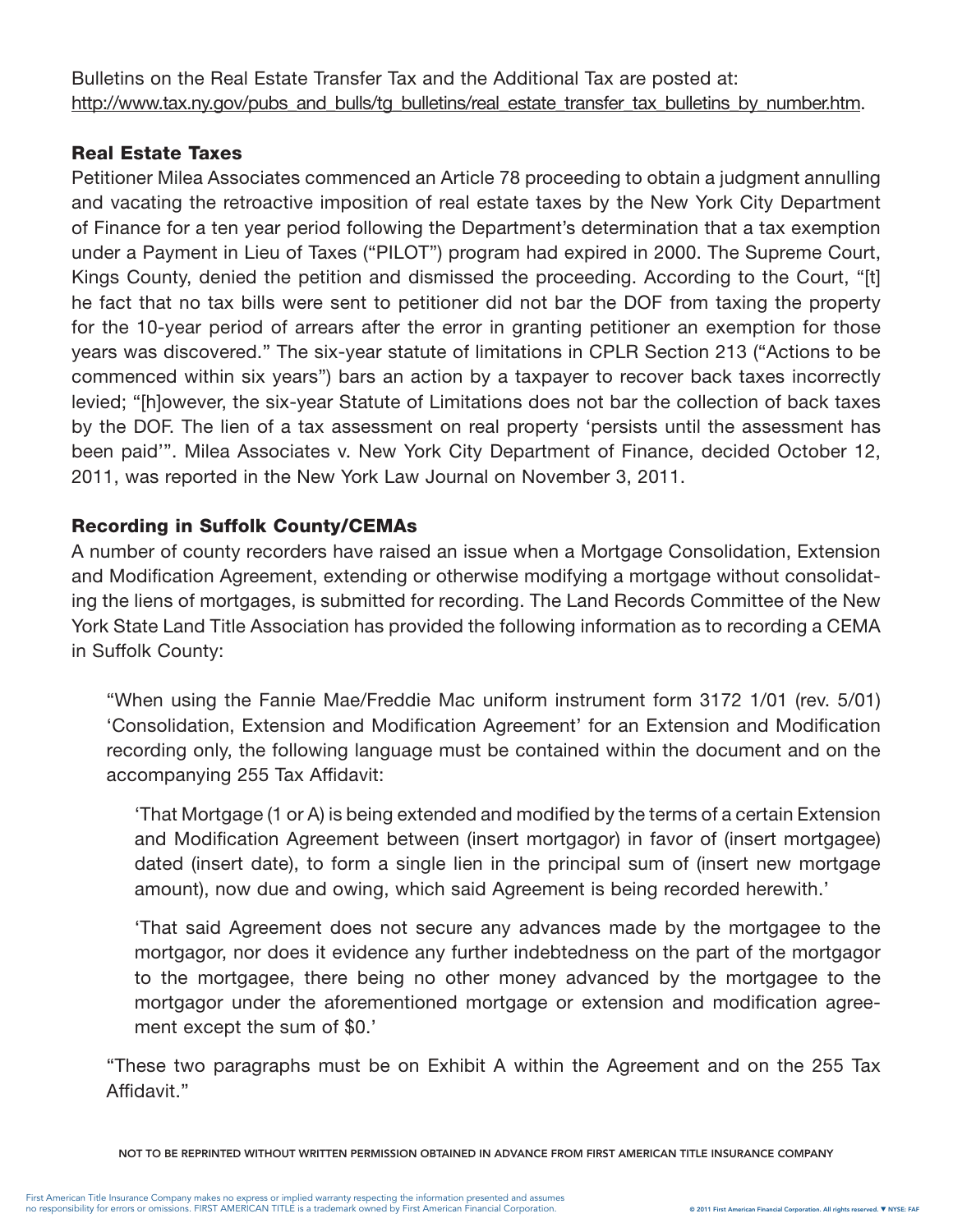Bulletins on the Real Estate Transfer Tax and the Additional Tax are posted at: http://www.tax.ny.gov/pubs\_and\_bulls/tg\_bulletins/real\_estate\_transfer\_tax\_bulletins\_by\_number.htm.

# Real Estate Taxes

Petitioner Milea Associates commenced an Article 78 proceeding to obtain a judgment annulling and vacating the retroactive imposition of real estate taxes by the New York City Department of Finance for a ten year period following the Department's determination that a tax exemption under a Payment in Lieu of Taxes ("PILOT") program had expired in 2000. The Supreme Court, Kings County, denied the petition and dismissed the proceeding. According to the Court, "[t] he fact that no tax bills were sent to petitioner did not bar the DOF from taxing the property for the 10-year period of arrears after the error in granting petitioner an exemption for those years was discovered." The six-year statute of limitations in CPLR Section 213 ("Actions to be commenced within six years") bars an action by a taxpayer to recover back taxes incorrectly levied; "[h]owever, the six-year Statute of Limitations does not bar the collection of back taxes by the DOF. The lien of a tax assessment on real property 'persists until the assessment has been paid'". Milea Associates v. New York City Department of Finance, decided October 12, 2011, was reported in the New York Law Journal on November 3, 2011.

# Recording in Suffolk County/CEMAs

A number of county recorders have raised an issue when a Mortgage Consolidation, Extension and Modification Agreement, extending or otherwise modifying a mortgage without consolidating the liens of mortgages, is submitted for recording. The Land Records Committee of the New York State Land Title Association has provided the following information as to recording a CEMA in Suffolk County:

"When using the Fannie Mae/Freddie Mac uniform instrument form 3172 1/01 (rev. 5/01) 'Consolidation, Extension and Modification Agreement' for an Extension and Modification recording only, the following language must be contained within the document and on the accompanying 255 Tax Affidavit:

'That Mortgage (1 or A) is being extended and modified by the terms of a certain Extension and Modification Agreement between (insert mortgagor) in favor of (insert mortgagee) dated (insert date), to form a single lien in the principal sum of (insert new mortgage amount), now due and owing, which said Agreement is being recorded herewith.'

'That said Agreement does not secure any advances made by the mortgagee to the mortgagor, nor does it evidence any further indebtedness on the part of the mortgagor to the mortgagee, there being no other money advanced by the mortgagee to the mortgagor under the aforementioned mortgage or extension and modification agreement except the sum of \$0.'

"These two paragraphs must be on Exhibit A within the Agreement and on the 255 Tax Affidavit."